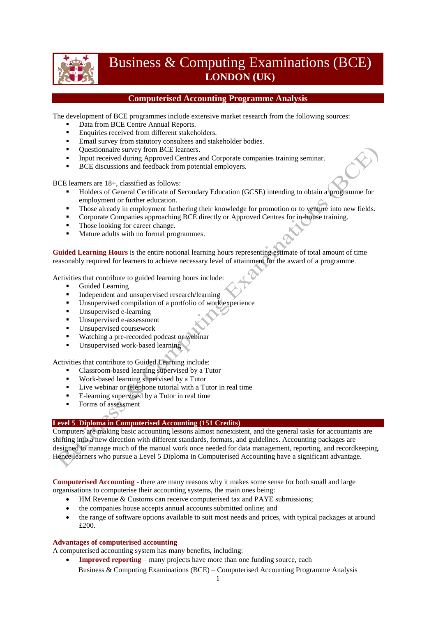

# Business & Computing Examinations (BCE) **LONDON (UK)**

## **Computerised Accounting Programme Analysis**

The development of BCE programmes include extensive market research from the following sources:

- Data from BCE Centre Annual Reports.
- **Enquiries received from different stakeholders.**
- **Email survey from statutory consultees and stakeholder bodies.**
- Ouestionnaire survey from BCE learners.
- Input received during Approved Centres and Corporate companies training seminar.
- **BCE** discussions and feedback from potential employers.

BCE learners are 18+, classified as follows:

- Holders of General Certificate of Secondary Education (GCSE) intending to obtain a programme for employment or further education.
- Those already in employment furthering their knowledge for promotion or to venture into new fields.
- Corporate Companies approaching BCE directly or Approved Centres for in-house training.
- Those looking for career change.
- Mature adults with no formal programmes.

**Guided Learning Hours** is the entire notional learning hours representing estimate of total amount of time reasonably required for learners to achieve necessary level of attainment for the award of a programme.

Activities that contribute to guided learning hours include:

- Guided Learning
- Independent and unsupervised research/learning
- Unsupervised compilation of a portfolio of work experience
- Unsupervised e-learning
- Unsupervised e-assessment
- **Unsupervised coursework**
- Watching a pre-recorded podcast or webinar
- Unsupervised work-based learning

Activities that contribute to Guided Learning include:

- Classroom-based learning supervised by a Tutor
- Work-based learning supervised by a Tutor
- Live webinar or telephone tutorial with a Tutor in real time
- E-learning supervised by a Tutor in real time
- **Forms of assessment**

### **Level 5 Diploma in Computerised Accounting (151 Credits)**

Computers are making basic accounting lessons almost nonexistent, and the general tasks for accountants are shifting into a new direction with different standards, formats, and guidelines. Accounting packages are designed to manage much of the manual work once needed for data management, reporting, and recordkeeping. Hence learners who pursue a Level 5 Diploma in Computerised Accounting have a significant advantage.

**Computerised Accounting** - there are many reasons why it makes some sense for both small and large organisations to computerise their accounting systems, the main ones being:

- HM Revenue & Customs can receive computerised tax and PAYE submissions;
- the companies house accepts annual accounts submitted online; and
- the range of software options available to suit most needs and prices, with typical packages at around £200.

#### **Advantages of computerised accounting**

A computerised accounting system has many benefits, including:

Business & Computing Examinations (BCE) – Computerised Accounting Programme Analysis **Improved reporting** – many projects have more than one funding source, each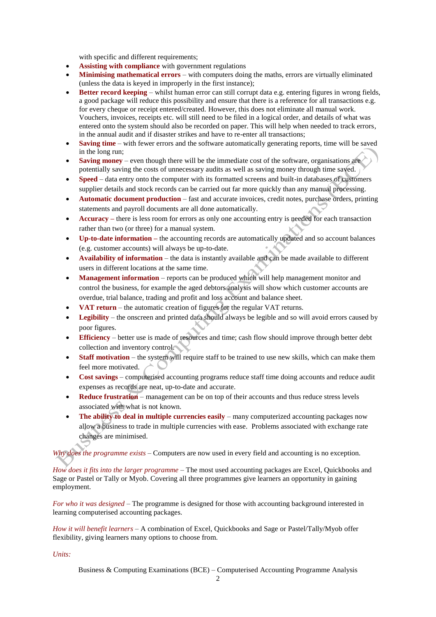with specific and different requirements;

- **Assisting with compliance** with government regulations
- **Minimising mathematical errors**  with computers doing the maths, errors are virtually eliminated (unless the data is keyed in improperly in the first instance);
- **Better record keeping**  whilst human error can still corrupt data e.g. entering figures in wrong fields, a good package will reduce this possibility and ensure that there is a reference for all transactions e.g. for every cheque or receipt entered/created. However, this does not eliminate all manual work. Vouchers, invoices, receipts etc. will still need to be filed in a logical order, and details of what was entered onto the system should also be recorded on paper. This will help when needed to track errors, in the annual audit and if disaster strikes and have to re-enter all transactions;
- **Saving time**  with fewer errors and the software automatically generating reports, time will be saved in the long run;
- **Saving money** even though there will be the immediate cost of the software, organisations are potentially saving the costs of unnecessary audits as well as saving money through time saved.
- **Speed**  data entry onto the computer with its formatted screens and built-in databases of customers supplier details and stock records can be carried out far more quickly than any manual processing.
- **Automatic document production**  fast and accurate invoices, credit notes, purchase orders, printing statements and payroll documents are all done automatically.
- **Accuracy** there is less room for errors as only one accounting entry is needed for each transaction rather than two (or three) for a manual system.
- **Up-to-date information –** the accounting records are automatically updated and so account balances (e.g. customer accounts) will always be up-to-date.
- **Availability of information**  the data is instantly available and can be made available to different users in different locations at the same time.
- **Management information** reports can be produced which will help management monitor and control the business, for example the aged debtors analysis will show which customer accounts are overdue, trial balance, trading and profit and loss account and balance sheet.
- **VAT return**  the automatic creation of figures for the regular VAT returns.
- Legibility the onscreen and printed data should always be legible and so will avoid errors caused by poor figures.
- **Efficiency**  better use is made of resources and time; cash flow should improve through better debt collection and inventory control.
- **Staff motivation** the system will require staff to be trained to use new skills, which can make them feel more motivated.
- **Cost savings**  computerised accounting programs reduce staff time doing accounts and reduce audit expenses as records are neat, up-to-date and accurate.
- **Reduce frustration**  management can be on top of their accounts and thus reduce stress levels associated with what is not known.
- The ability to deal in multiple currencies easily many computerized accounting packages now allow a business to trade in multiple currencies with ease. Problems associated with exchange rate changes are minimised.

*Why does the programme exists* – Computers are now used in every field and accounting is no exception.

*How does it fits into the larger programme* – The most used accounting packages are Excel, Quickbooks and Sage or Pastel or Tally or Myob. Covering all three programmes give learners an opportunity in gaining employment.

*For who it was designed* – The programme is designed for those with accounting background interested in learning computerised accounting packages.

*How it will benefit learners* – A combination of Excel, Quickbooks and Sage or Pastel/Tally/Myob offer flexibility, giving learners many options to choose from.

*Units:*

Business & Computing Examinations (BCE) – Computerised Accounting Programme Analysis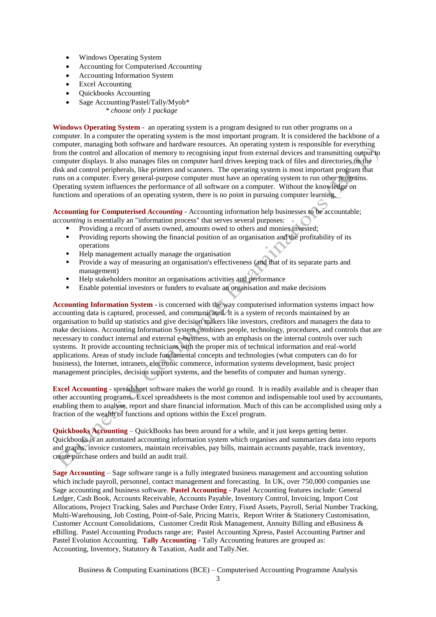- Windows Operating System
- Accounting for Computerised *Accounting*
- Accounting Information System
- Excel Accounting
- Quickbooks Accounting
- Sage Accounting/Pastel/Tally/Myob\* *\* choose only 1 package*

**Windows Operating System** - an operating system is a program designed to run other programs on a computer. In a computer the operating system is the most important program. It is considered the backbone of a computer, managing both software and hardware resources. An operating system is responsible for everything from the control and allocation of memory to recognising input from external devices and transmitting output to computer displays. It also manages files on computer hard drives keeping track of files and directories on the disk and control peripherals, like printers and scanners. The operating system is most important program that runs on a computer. Every general-purpose computer must have an operating system to run other programs. Operating system influences the performance of all software on a computer. Without the knowledge on functions and operations of an operating system, there is no point in pursuing computer learning.

**Accounting for Computerised** *Accounting* - Accounting information help businesses to be accountable; *accounting* is essentially an "information process" that serves several purposes:

- Providing a record of assets owned, amounts owed to others and monies invested;
- Providing reports showing the financial position of an organisation and the profitability of its operations
- Help management actually manage the organisation
- Provide a way of measuring an organisation's effectiveness (and that of its separate parts and management)
- Help stakeholders monitor an organisations activities and performance
- Enable potential investors or funders to evaluate an organisation and make decisions

**Accounting Information System** - is concerned with the way computerised information systems impact how accounting data is captured, processed, and communicated. It is a system of records maintained by an organisation to build up statistics and give decision makers like investors, creditors and managers the data to make decisions. Accounting Information System combines people, technology, procedures, and controls that are necessary to conduct internal and external e-business, with an emphasis on the internal controls over such systems. It provide accounting technicians with the proper mix of technical information and real-world applications. Areas of study include fundamental concepts and technologies (what computers can do for business), the Internet, intranets, electronic commerce, information systems development, basic project management principles, decision support systems, and the benefits of computer and human synergy.

**Excel Accounting** - spreadsheet software makes the world go round. It is readily available and is cheaper than other accounting programs. Excel spreadsheets is the most common and indispensable tool used by accountants, enabling them to analyse, report and share financial information. Much of this can be accomplished using only a fraction of the wealth of functions and options within the Excel program.

**Quickbooks Accounting** – QuickBooks has been around for a while, and it just keeps getting better. Quickbooks is an automated accounting information system which organises and summarizes data into reports and graphs, invoice customers, maintain receivables, pay bills, maintain accounts payable, track inventory, create purchase orders and build an audit trail.

**Sage Accounting** – Sage software range is a fully integrated business management and accounting solution which include payroll, personnel, contact management and forecasting. In UK, over 750,000 companies use Sage accounting and business software. **Pastel Accounting -** Pastel Accounting features include: General Ledger, Cash Book, Accounts Receivable, Accounts Payable, Inventory Control, Invoicing, Import Cost Allocations, Project Tracking, Sales and Purchase Order Entry, Fixed Assets, Payroll, Serial Number Tracking, Multi-Warehousing, Job Costing, Point-of-Sale, Pricing Matrix, Report Writer & Stationery Customisation, Customer Account Consolidations, Customer Credit Risk Management, Annuity Billing and eBusiness & eBilling. Pastel Accounting Products range are; Pastel Accounting Xpress, Pastel Accounting Partner and Pastel Evolution Accounting. **Tally Accounting -** Tally Accounting features are grouped as: Accounting, Inventory, Statutory & Taxation, Audit and Tally.Net.

Business & Computing Examinations (BCE) – Computerised Accounting Programme Analysis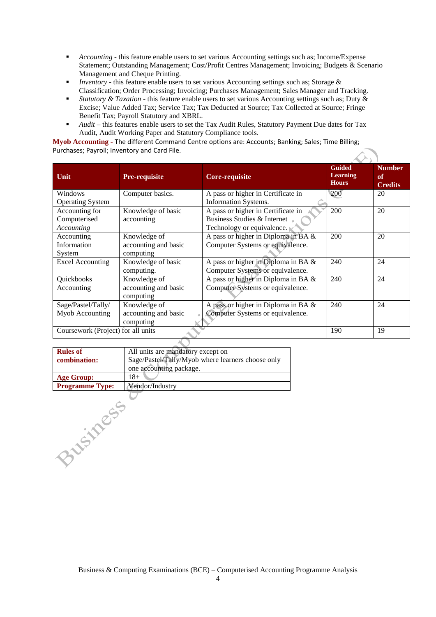- *Accounting* this feature enable users to set various Accounting settings such as; Income/Expense Statement; Outstanding Management; Cost/Profit Centres Management; Invoicing; Budgets & Scenario Management and Cheque Printing.
- *Inventory* this feature enable users to set various Accounting settings such as; Storage & Classification; Order Processing; Invoicing; Purchases Management; Sales Manager and Tracking.
- *Statutory & Taxation* this feature enable users to set various Accounting settings such as; Duty & Excise; Value Added Tax; Service Tax; Tax Deducted at Source; Tax Collected at Source; Fringe Benefit Tax; Payroll Statutory and XBRL.
- *Audit* this features enable users to set the Tax Audit Rules, Statutory Payment Due dates for Tax Audit, Audit Working Paper and Statutory Compliance tools.

**Myob Accounting -** The different Command Centre options are: Accounts; Banking; Sales; Time Billing; Purchases; Payroll; Inventory and Card File.  $\mathcal{L}_{\infty}$ 

| Unit                               | <b>Pre-requisite</b> | <b>Core-requisite</b>                  | <b>Guided</b><br><b>Learning</b><br><b>Hours</b> | <b>Number</b><br>of<br><b>Credits</b> |  |  |  |  |  |
|------------------------------------|----------------------|----------------------------------------|--------------------------------------------------|---------------------------------------|--|--|--|--|--|
| Windows                            | Computer basics.     | A pass or higher in Certificate in     | 200                                              | 20                                    |  |  |  |  |  |
| <b>Operating System</b>            |                      | Information Systems.                   |                                                  |                                       |  |  |  |  |  |
| Accounting for                     | Knowledge of basic   | A pass or higher in Certificate in     | 200                                              | 20                                    |  |  |  |  |  |
| Computerised                       | accounting           | Business Studies & Internet            |                                                  |                                       |  |  |  |  |  |
| Accounting                         |                      | Technology or equivalence.             |                                                  |                                       |  |  |  |  |  |
| Accounting                         | Knowledge of         | A pass or higher in Diploma in BA $\&$ | 200                                              | 20                                    |  |  |  |  |  |
| Information                        | accounting and basic | Computer Systems or equivalence.       |                                                  |                                       |  |  |  |  |  |
| System                             | computing            |                                        |                                                  |                                       |  |  |  |  |  |
| <b>Excel Accounting</b>            | Knowledge of basic   | A pass or higher in Diploma in BA $\&$ | 240                                              | 24                                    |  |  |  |  |  |
|                                    | computing.           | Computer Systems or equivalence.       |                                                  |                                       |  |  |  |  |  |
| Quickbooks                         | Knowledge of         | A pass or higher in Diploma in BA &    | 240                                              | 24                                    |  |  |  |  |  |
| Accounting                         | accounting and basic | Computer Systems or equivalence.       |                                                  |                                       |  |  |  |  |  |
|                                    | computing            |                                        |                                                  |                                       |  |  |  |  |  |
| Sage/Pastel/Tally/                 | Knowledge of         | A pass or higher in Diploma in BA $\&$ | 240                                              | 24                                    |  |  |  |  |  |
| Myob Accounting                    | accounting and basic | Computer Systems or equivalence.       |                                                  |                                       |  |  |  |  |  |
|                                    | computing            |                                        |                                                  |                                       |  |  |  |  |  |
| Coursework (Project) for all units |                      |                                        | 190                                              | 19                                    |  |  |  |  |  |
|                                    |                      |                                        |                                                  |                                       |  |  |  |  |  |

| <b>Rules of</b>        | All units are mandatory except on                 |
|------------------------|---------------------------------------------------|
| combination:           | Sage/Pastel/Tally/Myob where learners choose only |
|                        | one accounting package.                           |
| <b>Age Group:</b>      | 18+                                               |
| <b>Programme Type:</b> | Vendor/Industry                                   |
|                        |                                                   |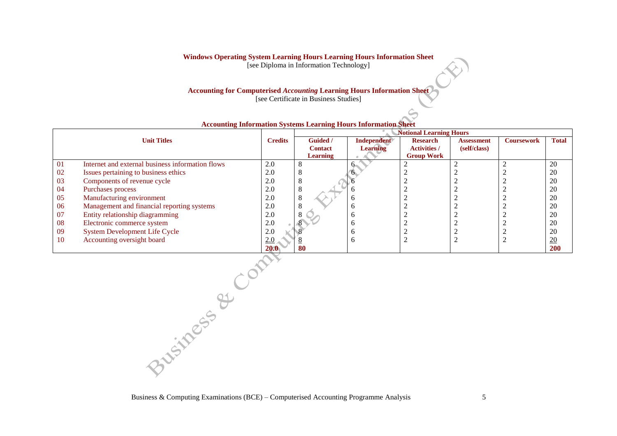#### **Windows Operating System Learning Hours Learning Hours Information Sheet**

[see Diploma in Information Technology]

## **Accounting for Computerised** *Accounting* **Learning Hours Information Sheet**

[see Certificate in Business Studies]

|    |                                                  |                |                | <b>Notional Learning Hours</b> |                     |              |                   |                 |
|----|--------------------------------------------------|----------------|----------------|--------------------------------|---------------------|--------------|-------------------|-----------------|
|    | <b>Unit Titles</b>                               | <b>Credits</b> | Guided /       | Independent                    | <b>Research</b>     | Assessment   | <b>Coursework</b> | <b>Total</b>    |
|    |                                                  |                | <b>Contact</b> | <b>Learning</b>                | <b>Activities /</b> | (self/class) |                   |                 |
|    |                                                  |                | Learning       |                                | <b>Group Work</b>   |              |                   |                 |
| 01 | Internet and external business information flows | 2.0            |                |                                |                     |              |                   | 20              |
| 02 | Issues pertaining to business ethics             | 2.0            |                |                                |                     |              |                   | 20              |
| 03 | Components of revenue cycle                      | 2.0            |                |                                |                     |              |                   | 20              |
| 04 | Purchases process                                | 2.0            |                |                                |                     |              |                   | 20              |
| 05 | Manufacturing environment                        | 2.0            |                | n                              |                     |              |                   | 20              |
| 06 | Management and financial reporting systems       | 2.0            |                | n                              |                     |              |                   | 20              |
| 07 | Entity relationship diagramming                  | 2.0            |                |                                |                     |              |                   | 20              |
| 08 | Electronic commerce system                       | 2.0            |                |                                |                     |              |                   | 20              |
| 09 | <b>System Development Life Cycle</b>             | 2.0            |                |                                |                     |              |                   | 20              |
| 10 | Accounting oversight board                       | 2.0            |                | n                              |                     |              |                   | $\overline{20}$ |
|    |                                                  | <b>20.0</b>    | 80             |                                |                     |              |                   | 200             |

#### **Accounting Information Systems Learning Hours Information Sheet**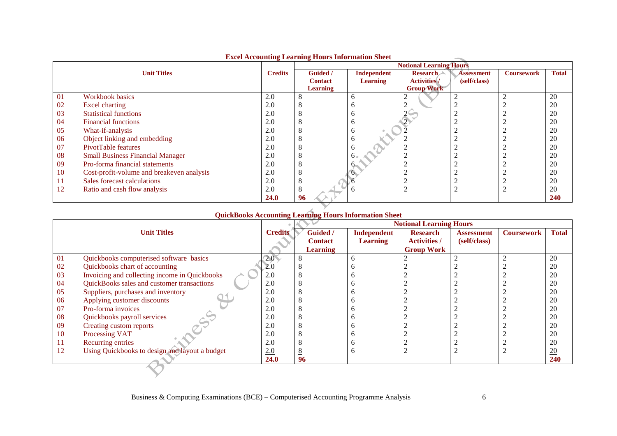|                    |                                           |                | Eater riccounting Learning Hours Information Sheet<br><b>Notional Learning Hours</b> |                    |                     |                   |                   |              |
|--------------------|-------------------------------------------|----------------|--------------------------------------------------------------------------------------|--------------------|---------------------|-------------------|-------------------|--------------|
| <b>Unit Titles</b> |                                           | <b>Credits</b> | Guided /                                                                             | <b>Independent</b> | <b>Research</b>     | <b>Assessment</b> | <b>Coursework</b> | <b>Total</b> |
|                    |                                           |                | <b>Contact</b>                                                                       | Learning           | <b>Activities</b> / | (self/class)      |                   |              |
|                    |                                           |                | <b>Learning</b>                                                                      |                    | <b>Group Work</b>   |                   |                   |              |
| 01                 | Workbook basics                           | 2.0            | Ō                                                                                    |                    |                     |                   |                   | 20           |
| 02                 | Excel charting                            | 2.0            | δ                                                                                    |                    |                     |                   |                   | 20           |
| 03                 | <b>Statistical functions</b>              | 2.0            | Λ                                                                                    |                    |                     |                   |                   | 20           |
| 04                 | <b>Financial functions</b>                | 2.0            | δ                                                                                    |                    |                     |                   |                   | 20           |
| 05                 | What-if-analysis                          | 2.0            | Λ                                                                                    |                    |                     |                   |                   | 20           |
| 06                 | Object linking and embedding              | 2.0            | Λ                                                                                    |                    |                     |                   |                   | 20           |
| 07                 | PivotTable features                       | 2.0            | Λ                                                                                    |                    |                     |                   |                   | 20           |
| 08                 | <b>Small Business Financial Manager</b>   | 2.0            | Λ                                                                                    |                    |                     |                   |                   | 20           |
| 09                 | Pro-forma financial statements            | 2.0            | δ                                                                                    |                    |                     |                   |                   | 20           |
| 10                 | Cost-profit-volume and breakeven analysis | 2.0            | ◠                                                                                    |                    |                     |                   |                   | 20           |
| 11                 | Sales forecast calculations               | 2.0            | δ                                                                                    |                    |                     |                   |                   | 20           |
| 12                 | Ratio and cash flow analysis              | 2.0            | <u>o</u>                                                                             |                    |                     |                   |                   | 20           |
|                    |                                           | 24.0           | 96                                                                                   |                    |                     |                   |                   | 240          |

#### **Excel Accounting Learning Hours Information Sheet**

# **QuickBooks Accounting Learning Hours Information Sheet**

|                    |                                                |                |                 | <b>Notional Learning Hours</b> |                     |                   |                   |                  |  |
|--------------------|------------------------------------------------|----------------|-----------------|--------------------------------|---------------------|-------------------|-------------------|------------------|--|
| <b>Unit Titles</b> |                                                | <b>Credits</b> | <b>Guided</b> / | Independent                    | <b>Research</b>     | <b>Assessment</b> | <b>Coursework</b> | <b>Total</b>     |  |
|                    |                                                |                | <b>Contact</b>  | <b>Learning</b>                | <b>Activities /</b> | (self/class)      |                   |                  |  |
|                    |                                                |                | <b>Learning</b> |                                | <b>Group Work</b>   |                   |                   |                  |  |
| 01                 | Quickbooks computerised software basics        | 2.0<           |                 |                                |                     |                   |                   | 20               |  |
| 02                 | Quickbooks chart of accounting                 | 2.0            |                 |                                |                     |                   |                   | 20               |  |
| 03                 | Invoicing and collecting income in Quickbooks  | 2.0            |                 |                                |                     |                   |                   | 20               |  |
| 04                 | QuickBooks sales and customer transactions     | 2.0            |                 |                                |                     |                   |                   | 20               |  |
| 05                 | Suppliers, purchases and inventory             | 2.0            |                 |                                |                     |                   |                   | 20               |  |
| 06                 | Applying customer discounts                    | 2.0            |                 |                                |                     |                   |                   | 20               |  |
| 07                 | Pro-forma invoices                             | 2.0            |                 |                                |                     |                   |                   | 20               |  |
| 08                 | Quickbooks payroll services                    | 2.0            |                 |                                |                     |                   |                   | 20               |  |
| 09                 | Creating custom reports                        | 2.0            |                 |                                |                     |                   |                   | 20               |  |
| 10                 | Processing VAT                                 | 2.0            |                 |                                |                     |                   |                   | 20               |  |
| 11                 | Recurring entries                              | 2.0            |                 |                                |                     |                   |                   | 20               |  |
| 12                 | Using Quickbooks to design and layout a budget | 2.0            |                 |                                |                     |                   |                   | $\underline{20}$ |  |
|                    |                                                | <b>24.0</b>    | 96              |                                |                     |                   |                   | <b>240</b>       |  |